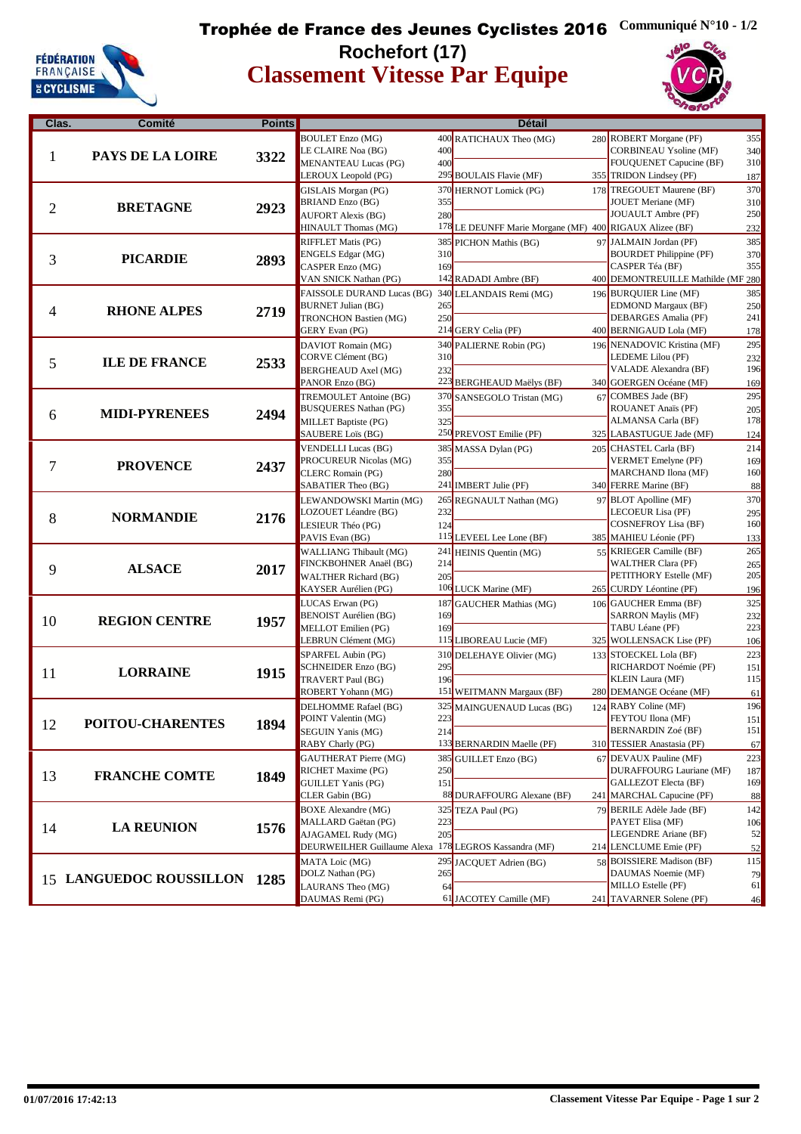

#### **Classement Vitesse Par Equipe** Trophée de France des Jeunes Cyclistes 2016 **Communiqué N°10 - 1/2 Rochefort (17)**





| Clas. | Comité                       | <b>Points</b> |                                                    |     | <b>Détail</b>                                           |                                                   |            |
|-------|------------------------------|---------------|----------------------------------------------------|-----|---------------------------------------------------------|---------------------------------------------------|------------|
|       |                              |               | <b>BOULET</b> Enzo (MG)                            |     | 400 RATICHAUX Theo (MG)                                 | 280 ROBERT Morgane (PF)                           | 355        |
|       | PAYS DE LA LOIRE             | 3322          | LE CLAIRE Noa (BG)                                 | 400 |                                                         | <b>CORBINEAU Ysoline (MF)</b>                     | 340        |
| 1     |                              |               | <b>MENANTEAU Lucas (PG)</b>                        | 400 |                                                         | FOUQUENET Capucine (BF)                           | 310        |
|       |                              |               | LEROUX Leopold (PG)                                |     | 295 BOULAIS Flavie (MF)                                 | 355 TRIDON Lindsey (PF)                           | 187        |
|       |                              |               | GISLAIS Morgan (PG)                                |     | 370 HERNOT Lomick (PG)                                  | 178 TREGOUET Maurene (BF)                         | 370        |
|       | <b>BRETAGNE</b>              |               | <b>BRIAND Enzo (BG)</b>                            | 355 |                                                         | <b>JOUET Meriane (MF)</b>                         | 310        |
| 2     |                              | 2923          | <b>AUFORT Alexis (BG)</b>                          | 280 |                                                         | <b>JOUAULT</b> Ambre (PF)                         | 250        |
|       |                              |               | HINAULT Thomas (MG)                                |     | 178 LE DEUNFF Marie Morgane (MF) 400 RIGAUX Alizee (BF) |                                                   | 232        |
|       |                              |               | <b>RIFFLET Matis (PG)</b>                          |     | 385 PICHON Mathis (BG)                                  | 97 JALMAIN Jordan (PF)                            | 385        |
|       |                              |               | ENGELS Edgar (MG)                                  | 310 |                                                         | <b>BOURDET Philippine (PF)</b>                    | 370        |
| 3     | <b>PICARDIE</b>              | 2893          | CASPER Enzo (MG)                                   | 169 |                                                         | CASPER Téa (BF)                                   | 355        |
|       |                              |               | VAN SNICK Nathan (PG)                              |     | 142 RADADI Ambre (BF)                                   | 400 DEMONTREUILLE Mathilde (MF 280                |            |
|       |                              |               | FAISSOLE DURAND Lucas (BG) 340 LELANDAIS Remi (MG) |     |                                                         | 196 BURQUIER Line (MF)                            | 385        |
|       |                              |               | <b>BURNET Julian (BG)</b>                          | 265 |                                                         | <b>EDMOND Margaux (BF)</b>                        | 250        |
| 4     | <b>RHONE ALPES</b>           | 2719          | <b>TRONCHON Bastien (MG)</b>                       | 250 |                                                         | DEBARGES Amalia (PF)                              | 241        |
|       |                              |               | <b>GERY Evan (PG)</b>                              |     | 214 GERY Celia (PF)                                     | 400 BERNIGAUD Lola (MF)                           | 178        |
|       |                              |               | DAVIOT Romain (MG)                                 |     | 340 PALIERNE Robin (PG)                                 | 196 NENADOVIC Kristina (MF)                       | 295        |
|       |                              |               | CORVE Clément (BG)                                 | 310 |                                                         | LEDEME Lilou (PF)                                 | 232        |
| 5     | <b>ILE DE FRANCE</b>         | 2533          | <b>BERGHEAUD Axel (MG)</b>                         | 232 |                                                         | VALADE Alexandra (BF)                             | 196        |
|       |                              |               | PANOR Enzo (BG)                                    |     | 223 BERGHEAUD Maëlys (BF)                               | 340 GOERGEN Océane (MF)                           | 169        |
|       |                              |               | <b>TREMOULET Antoine (BG)</b>                      |     |                                                         | 67 COMBES Jade (BF)                               | 295        |
|       |                              |               | <b>BUSQUERES Nathan (PG)</b>                       | 355 | 370 SANSEGOLO Tristan (MG)                              | ROUANET Anaïs (PF)                                |            |
| 6     | <b>MIDI-PYRENEES</b>         | 2494          | MILLET Baptiste (PG)                               | 325 |                                                         | ALMANSA Carla (BF)                                | 205<br>178 |
|       |                              |               | SAUBERE Loïs (BG)                                  |     | 250 PREVOST Emilie (PF)                                 | 325 LABASTUGUE Jade (MF)                          |            |
|       |                              |               |                                                    |     |                                                         |                                                   | 124        |
|       |                              |               | <b>VENDELLI Lucas (BG)</b>                         | 355 | 385 MASSA Dylan (PG)                                    | 205 CHASTEL Carla (BF)                            | 214        |
| 7     | <b>PROVENCE</b>              | 2437          | PROCUREUR Nicolas (MG)<br><b>CLERC Romain (PG)</b> | 280 |                                                         | <b>VERMET</b> Emelyne (PF)<br>MARCHAND Ilona (MF) | 169<br>160 |
|       |                              |               | SABATIER Theo (BG)                                 |     | 241 IMBERT Julie (PF)                                   | 340 FERRE Marine (BF)                             |            |
|       |                              |               |                                                    |     |                                                         |                                                   | 88         |
|       |                              |               | LEWANDOWSKI Martin (MG)                            |     | 265 REGNAULT Nathan (MG)                                | 97 BLOT Apolline (MF)                             | 370        |
| 8     | <b>NORMANDIE</b>             | 2176          | LOZOUET Léandre (BG)                               | 232 |                                                         | LECOEUR Lisa (PF)                                 | 295        |
|       |                              |               | LESIEUR Théo (PG)                                  | 124 |                                                         | <b>COSNEFROY Lisa (BF)</b>                        | 160        |
|       |                              |               | PAVIS Evan (BG)                                    |     | 115 LEVEEL Lee Lone (BF)                                | 385 MAHIEU Léonie (PF)                            | 133        |
|       |                              |               | <b>WALLIANG Thibault (MG)</b>                      |     | 241 HEINIS Quentin (MG)                                 | 55 KRIEGER Camille (BF)                           | 265        |
| 9     | <b>ALSACE</b>                | 2017          | FINCKBOHNER Anaël (BG)                             | 214 |                                                         | <b>WALTHER Clara (PF)</b>                         | 265        |
|       |                              |               | <b>WALTHER Richard (BG)</b>                        | 205 |                                                         | PETITHORY Estelle (MF)                            | 205        |
|       |                              |               | KAYSER Aurélien (PG)                               |     | 106 LUCK Marine (MF)                                    | 265 CURDY Léontine (PF)                           | 196        |
|       |                              |               | LUCAS Erwan (PG)                                   |     | 187 GAUCHER Mathias (MG)                                | 106 GAUCHER Emma (BF)                             | 325        |
| 10    | <b>REGION CENTRE</b>         | 1957          | <b>BENOIST Aurélien (BG)</b>                       | 169 |                                                         | <b>SARRON Maylis (MF)</b>                         | 232        |
|       |                              |               | <b>MELLOT</b> Emilien (PG)                         | 169 |                                                         | TABU Léane (PF)<br>325 WOLLENSACK Lise (PF)       | 223        |
|       |                              |               | LEBRUN Clément (MG)                                |     | 115 LIBOREAU Lucie (MF)                                 |                                                   | 106        |
|       |                              |               | SPARFEL Aubin (PG)                                 |     | 310 DELEHAYE Olivier (MG)                               | 133 STOECKEL Lola (BF)                            | 223        |
| 11    | <b>LORRAINE</b>              | 1915          | SCHNEIDER Enzo (BG)                                | 295 |                                                         | RICHARDOT Noémie (PF)<br>KLEIN Laura (MF)         | 151        |
|       |                              |               | <b>TRAVERT Paul (BG)</b><br>ROBERT Yohann (MG)     | 196 | 151 WEITMANN Margaux (BF)                               |                                                   | <b>115</b> |
|       |                              |               |                                                    |     |                                                         | 280 DEMANGE Océane (MF)                           | 61         |
|       |                              |               | DELHOMME Rafael (BG)                               |     | 325 MAINGUENAUD Lucas (BG)                              | 124 RABY Coline (MF)                              | 196        |
| 12    | POITOU-CHARENTES             | 1894          | POINT Valentin (MG)                                | 223 |                                                         | FEYTOU Ilona (MF)                                 | 151        |
|       |                              |               | <b>SEGUIN Yanis (MG)</b>                           | 214 |                                                         | <b>BERNARDIN Zoé (BF)</b>                         | 151        |
|       |                              |               | RABY Charly (PG)                                   |     | 133 BERNARDIN Maelle (PF)                               | 310 TESSIER Anastasia (PF)                        | 67         |
|       |                              |               | <b>GAUTHERAT Pierre (MG)</b>                       |     | 385 GUILLET Enzo (BG)                                   | 67 DEVAUX Pauline (MF)                            | 223        |
| 13    | <b>FRANCHE COMTE</b>         | 1849          | RICHET Maxime (PG)                                 | 250 |                                                         | <b>DURAFFOURG Lauriane (MF)</b>                   | 187        |
|       |                              |               | <b>GUILLET Yanis (PG)</b>                          | 151 |                                                         | <b>GALLEZOT Electa (BF)</b>                       | 169        |
|       |                              |               | CLER Gabin (BG)                                    |     | 88 DURAFFOURG Alexane (BF)                              | 241 MARCHAL Capucine (PF)                         | 88         |
|       |                              |               | <b>BOXE Alexandre (MG)</b>                         | 325 | TEZA Paul (PG)                                          | 79 BERILE Adèle Jade (BF)                         | 142        |
| 14    | <b>LA REUNION</b>            | 1576          | MALLARD Gaëtan (PG)                                | 223 |                                                         | PAYET Elisa (MF)                                  | 106        |
|       |                              |               | AJAGAMEL Rudy (MG)                                 | 205 |                                                         | LEGENDRE Ariane (BF)                              | 52         |
|       |                              |               | DEURWEILHER Guillaume Alexa                        |     | 178 LEGROS Kassandra (MF)                               | 214 LENCLUME Emie (PF)                            | 52         |
|       |                              |               | MATA Loic (MG)                                     |     | 295 JACQUET Adrien (BG)                                 | 58 BOISSIERE Madison (BF)                         | 115        |
|       | 15 LANGUEDOC ROUSSILLON 1285 |               | DOLZ Nathan (PG)                                   | 265 |                                                         | DAUMAS Noemie (MF)                                | 79         |
|       |                              |               | LAURANS Theo (MG)                                  | 64  |                                                         | MILLO Estelle (PF)                                | 61         |
|       |                              |               | DAUMAS Remi (PG)                                   |     | 61 JACOTEY Camille (MF)                                 | 241 TAVARNER Solene (PF)                          | 46         |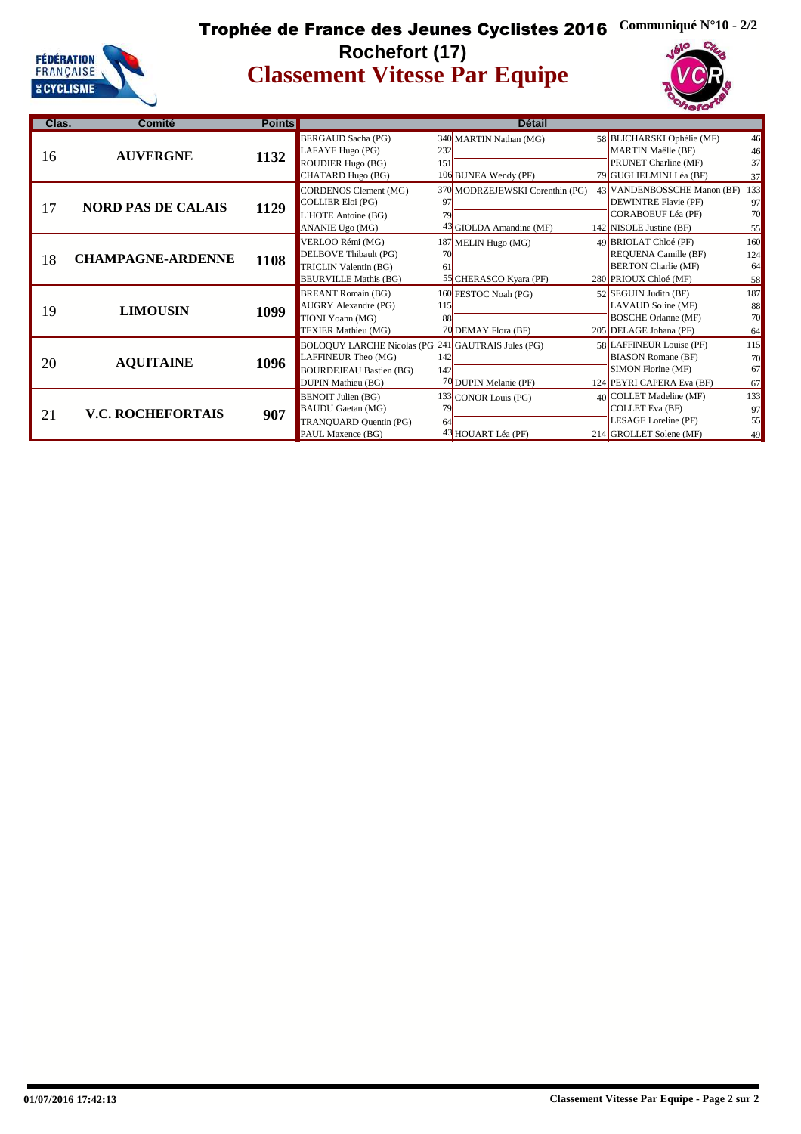

#### **Classement Vitesse Par Equipe** Trophée de France des Jeunes Cyclistes 2016 **Communiqué N°10 - 2/2 Rochefort (17)**



| Clas. | Comité                    | <b>Points</b> |                                                                                                                                   |            | <b>Détail</b>                                              |                                                                                                                    |                              |
|-------|---------------------------|---------------|-----------------------------------------------------------------------------------------------------------------------------------|------------|------------------------------------------------------------|--------------------------------------------------------------------------------------------------------------------|------------------------------|
| 16    | <b>AUVERGNE</b>           | 1132          | BERGAUD Sacha (PG)<br>LAFAYE Hugo (PG)<br><b>ROUDIER Hugo (BG)</b><br>CHATARD Hugo (BG)                                           | 232<br>151 | 340 MARTIN Nathan (MG)<br>106 BUNEA Wendy (PF)             | 58 BLICHARSKI Ophélie (MF)<br>MARTIN Maëlle (BF)<br>PRUNET Charline (MF)<br>79 GUGLIELMINI Léa (BF)                | 46<br>46<br>37<br>37         |
| 17    | <b>NORD PAS DE CALAIS</b> | 1129          | CORDENOS Clement (MG)<br>COLLIER Eloi (PG)<br>L'HOTE Antoine (BG)<br>ANANIE Ugo (MG)                                              | 97<br>79   | 370 MODRZEJEWSKI Corenthin (PG)<br>43 GIOLDA Amandine (MF) | 43 VANDENBOSSCHE Manon (BF)<br><b>DEWINTRE Flavie (PF)</b><br><b>CORABOEUF Léa (PF)</b><br>142 NISOLE Justine (BF) | 133<br>97<br>70<br>55        |
| 18    | <b>CHAMPAGNE-ARDENNE</b>  | 1108          | VERLOO Rémi (MG)<br>DELBOVE Thibault (PG)<br><b>TRICLIN Valentin (BG)</b><br><b>BEURVILLE Mathis (BG)</b>                         | 70<br>61   | 187 MELIN Hugo (MG)<br>55 CHERASCO Kyara (PF)              | 49 BRIOLAT Chloé (PF)<br>REQUENA Camille (BF)<br><b>BERTON Charlie (MF)</b><br>280 PRIOUX Chloé (MF)               | 160<br>124<br>64<br>58       |
| 19    | <b>LIMOUSIN</b>           | 1099          | <b>BREANT Romain (BG)</b><br><b>AUGRY</b> Alexandre (PG)<br>TIONI Yoann (MG)<br><b>TEXIER Mathieu (MG)</b>                        | 115<br>88  | 160 FESTOC Noah (PG)<br>70 DEMAY Flora (BF)                | 52 SEGUIN Judith (BF)<br>LAVAUD Soline (MF)<br><b>BOSCHE Orlanne (MF)</b><br>205 DELAGE Johana (PF)                | <b>187</b><br>88<br>70<br>64 |
| 20    | <b>AQUITAINE</b>          | 1096          | BOLOQUY LARCHE Nicolas (PG 241 GAUTRAIS Jules (PG)<br>LAFFINEUR Theo (MG)<br><b>BOURDEJEAU Bastien (BG)</b><br>DUPIN Mathieu (BG) | 142<br>142 | 70 DUPIN Melanie (PF)                                      | 58 LAFFINEUR Louise (PF)<br><b>BIASON Romane (BF)</b><br>SIMON Florine (MF)<br>124 PEYRI CAPERA Eva (BF)           | 115<br>70<br>67<br>67        |
| 21    | <b>V.C. ROCHEFORTAIS</b>  | 907           | <b>BENOIT Julien (BG)</b><br><b>BAUDU</b> Gaetan (MG)<br>TRANQUARD Quentin (PG)<br>PAUL Maxence (BG)                              | 79<br>64   | 133 CONOR Louis (PG)<br>43 HOUART Léa (PF)                 | 40 COLLET Madeline (MF)<br><b>COLLET Eva (BF)</b><br>LESAGE Loreline (PF)<br>214 GROLLET Solene (MF)               | 133<br>97<br>55<br>49        |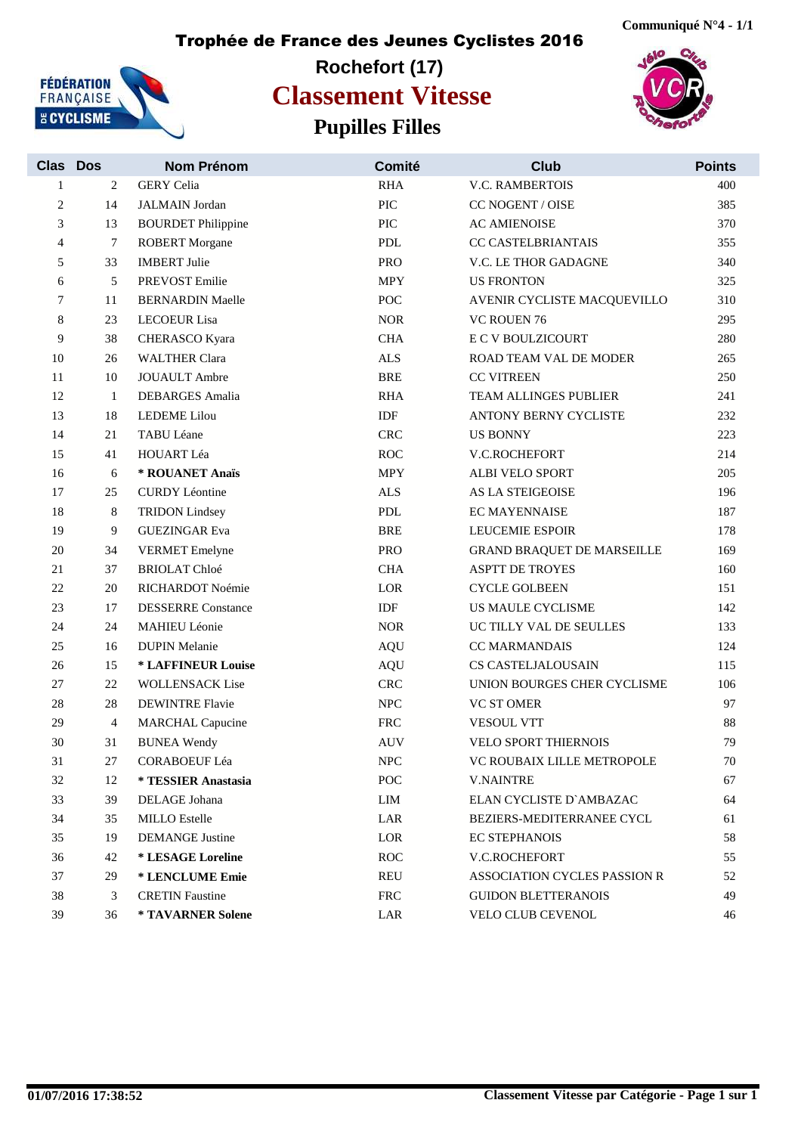

## **Rochefort (17) Pupilles Filles Classement Vitesse**





| <b>Clas</b> | <b>Dos</b>     | <b>Nom Prénom</b>         | Comité                             | <b>Club</b>                       | <b>Points</b> |
|-------------|----------------|---------------------------|------------------------------------|-----------------------------------|---------------|
| 1           | 2              | <b>GERY</b> Celia         | <b>RHA</b>                         | <b>V.C. RAMBERTOIS</b>            | 400           |
| 2           | 14             | <b>JALMAIN</b> Jordan     | PIC                                | CC NOGENT / OISE                  | 385           |
| 3           | 13             | <b>BOURDET Philippine</b> | PIC                                | <b>AC AMIENOISE</b>               | 370           |
| 4           | $\tau$         | <b>ROBERT</b> Morgane     | <b>PDL</b>                         | CC CASTELBRIANTAIS                | 355           |
| 5           | 33             | <b>IMBERT</b> Julie       | <b>PRO</b>                         | V.C. LE THOR GADAGNE              | 340           |
| 6           | 5              | <b>PREVOST Emilie</b>     | <b>MPY</b>                         | <b>US FRONTON</b>                 | 325           |
| 7           | 11             | <b>BERNARDIN Maelle</b>   | POC                                | AVENIR CYCLISTE MACQUEVILLO       | 310           |
| 8           | 23             | <b>LECOEUR</b> Lisa       | $\rm{NOR}$                         | VC ROUEN 76                       | 295           |
| 9           | 38             | CHERASCO Kyara            | <b>CHA</b>                         | <b>E C V BOULZICOURT</b>          | 280           |
| 10          | 26             | <b>WALTHER Clara</b>      | <b>ALS</b>                         | ROAD TEAM VAL DE MODER            | 265           |
| 11          | 10             | <b>JOUAULT</b> Ambre      | <b>BRE</b>                         | <b>CC VITREEN</b>                 | 250           |
| 12          | $\mathbf{1}$   | <b>DEBARGES</b> Amalia    | <b>RHA</b>                         | TEAM ALLINGES PUBLIER             | 241           |
| 13          | 18             | <b>LEDEME</b> Lilou       | IDF                                | ANTONY BERNY CYCLISTE             | 232           |
| 14          | 21             | TABU Léane                | <b>CRC</b>                         | <b>US BONNY</b>                   | 223           |
| 15          | 41             | HOUART Léa                | <b>ROC</b>                         | <b>V.C.ROCHEFORT</b>              | 214           |
| 16          | 6              | * ROUANET Anaïs           | <b>MPY</b>                         | <b>ALBI VELO SPORT</b>            | 205           |
| 17          | 25             | <b>CURDY Léontine</b>     | $\ensuremath{\mbox{\textbf{ALS}}}$ | AS LA STEIGEOISE                  | 196           |
| 18          | 8              | <b>TRIDON</b> Lindsey     | ${\rm PDL}$                        | <b>EC MAYENNAISE</b>              | 187           |
| 19          | 9              | <b>GUEZINGAR Eva</b>      | <b>BRE</b>                         | <b>LEUCEMIE ESPOIR</b>            | 178           |
| 20          | 34             | <b>VERMET</b> Emelyne     | <b>PRO</b>                         | <b>GRAND BRAQUET DE MARSEILLE</b> | 169           |
| 21          | 37             | <b>BRIOLAT Chloé</b>      | <b>CHA</b>                         | <b>ASPTT DE TROYES</b>            | 160           |
| 22          | 20             | RICHARDOT Noémie          | LOR                                | <b>CYCLE GOLBEEN</b>              | 151           |
| $23\,$      | 17             | <b>DESSERRE</b> Constance | IDF                                | US MAULE CYCLISME                 | 142           |
| 24          | 24             | <b>MAHIEU Léonie</b>      | <b>NOR</b>                         | UC TILLY VAL DE SEULLES           | 133           |
| 25          | 16             | <b>DUPIN Melanie</b>      | <b>AQU</b>                         | <b>CC MARMANDAIS</b>              | 124           |
| $26\,$      | 15             | * LAFFINEUR Louise        | <b>AQU</b>                         | CS CASTELJALOUSAIN                | 115           |
| 27          | 22             | <b>WOLLENSACK Lise</b>    | <b>CRC</b>                         | UNION BOURGES CHER CYCLISME       | 106           |
| 28          | 28             | <b>DEWINTRE Flavie</b>    | NPC                                | <b>VC ST OMER</b>                 | 97            |
| 29          | $\overline{4}$ | <b>MARCHAL Capucine</b>   | ${\rm FRC}$                        | <b>VESOUL VTT</b>                 | 88            |
| 30          | 31             | <b>BUNEA</b> Wendy        | <b>AUV</b>                         | VELO SPORT THIERNOIS              | 79            |
| 31          | 27             | CORABOEUF Léa             | ${\rm NPC}$                        | VC ROUBAIX LILLE METROPOLE        | 70            |
| 32          | 12             | * TESSIER Anastasia       | POC                                | <b>V.NAINTRE</b>                  | 67            |
| 33          | 39             | DELAGE Johana             | LIM                                | ELAN CYCLISTE D'AMBAZAC           | 64            |
| 34          | 35             | <b>MILLO</b> Estelle      | LAR                                | BEZIERS-MEDITERRANEE CYCL         | 61            |
| 35          | 19             | <b>DEMANGE</b> Justine    | LOR                                | <b>EC STEPHANOIS</b>              | 58            |
| 36          | 42             | * LESAGE Loreline         | <b>ROC</b>                         | V.C.ROCHEFORT                     | 55            |
| 37          | 29             | * LENCLUME Emie           | REU                                | ASSOCIATION CYCLES PASSION R      | 52            |
| 38          | 3              | <b>CRETIN Faustine</b>    | <b>FRC</b>                         | <b>GUIDON BLETTERANOIS</b>        | 49            |
| 39          | 36             | * TAVARNER Solene         | LAR                                | VELO CLUB CEVENOL                 | 46            |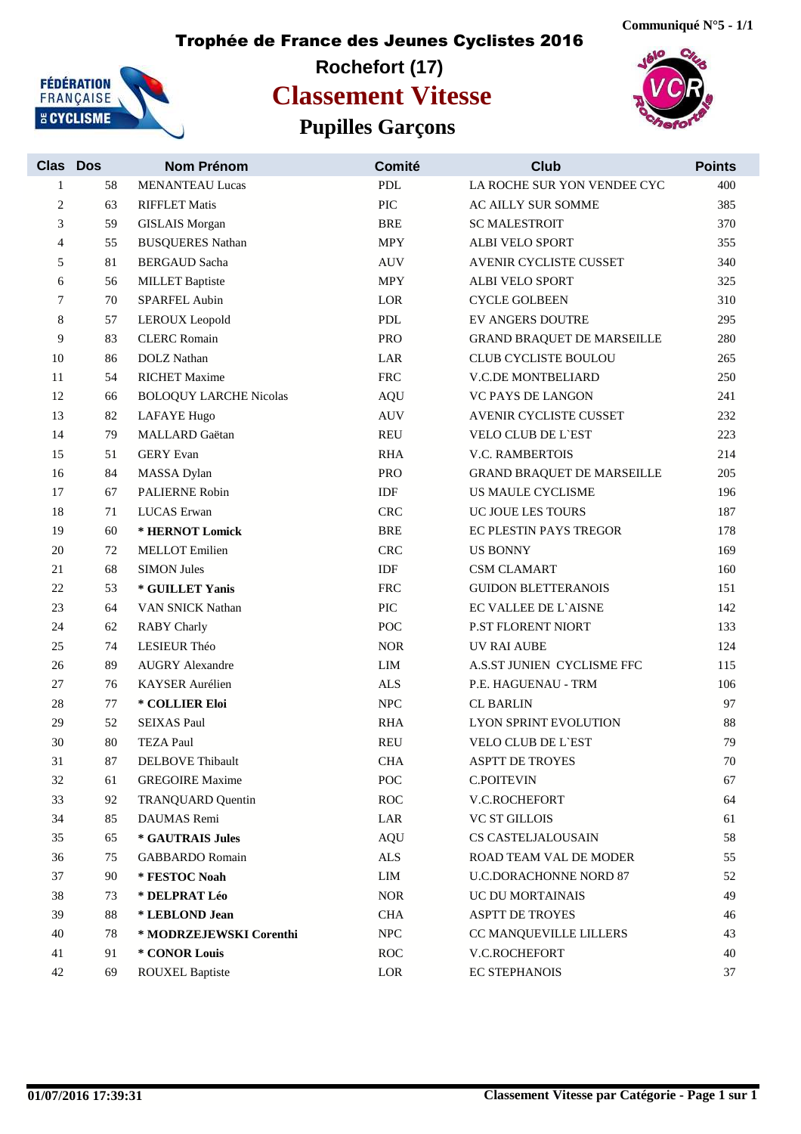

## **Rochefort (17) Pupilles Garçons Classement Vitesse**





| Clas Dos |    | Nom Prénom                    | Comité      | <b>Club</b>                       | <b>Points</b> |
|----------|----|-------------------------------|-------------|-----------------------------------|---------------|
| 1        | 58 | <b>MENANTEAU Lucas</b>        | <b>PDL</b>  | LA ROCHE SUR YON VENDEE CYC       | 400           |
| 2        | 63 | <b>RIFFLET Matis</b>          | PIC         | AC AILLY SUR SOMME                | 385           |
| 3        | 59 | <b>GISLAIS</b> Morgan         | <b>BRE</b>  | <b>SC MALESTROIT</b>              | 370           |
| 4        | 55 | <b>BUSQUERES Nathan</b>       | <b>MPY</b>  | ALBI VELO SPORT                   | 355           |
| 5        | 81 | <b>BERGAUD Sacha</b>          | <b>AUV</b>  | AVENIR CYCLISTE CUSSET            | 340           |
| 6        | 56 | <b>MILLET</b> Baptiste        | <b>MPY</b>  | <b>ALBI VELO SPORT</b>            | 325           |
| 7        | 70 | SPARFEL Aubin                 | LOR         | <b>CYCLE GOLBEEN</b>              | 310           |
| 8        | 57 | LEROUX Leopold                | ${\bf PDL}$ | <b>EV ANGERS DOUTRE</b>           | 295           |
| 9        | 83 | <b>CLERC Romain</b>           | <b>PRO</b>  | <b>GRAND BRAQUET DE MARSEILLE</b> | 280           |
| 10       | 86 | <b>DOLZ</b> Nathan            | LAR         | CLUB CYCLISTE BOULOU              | 265           |
| 11       | 54 | <b>RICHET Maxime</b>          | <b>FRC</b>  | V.C.DE MONTBELIARD                | 250           |
| 12       | 66 | <b>BOLOQUY LARCHE Nicolas</b> | <b>AQU</b>  | <b>VC PAYS DE LANGON</b>          | 241           |
| 13       | 82 | <b>LAFAYE Hugo</b>            | <b>AUV</b>  | AVENIR CYCLISTE CUSSET            | 232           |
| 14       | 79 | MALLARD Gaëtan                | REU         | <b>VELO CLUB DE L'EST</b>         | 223           |
| 15       | 51 | <b>GERY</b> Evan              | <b>RHA</b>  | <b>V.C. RAMBERTOIS</b>            | 214           |
| 16       | 84 | <b>MASSA</b> Dylan            | <b>PRO</b>  | <b>GRAND BRAQUET DE MARSEILLE</b> | 205           |
| 17       | 67 | <b>PALIERNE Robin</b>         | IDF         | <b>US MAULE CYCLISME</b>          | 196           |
| 18       | 71 | LUCAS Erwan                   | <b>CRC</b>  | UC JOUE LES TOURS                 | 187           |
| 19       | 60 | * HERNOT Lomick               | <b>BRE</b>  | EC PLESTIN PAYS TREGOR            | 178           |
| 20       | 72 | <b>MELLOT</b> Emilien         | <b>CRC</b>  | <b>US BONNY</b>                   | 169           |
| 21       | 68 | <b>SIMON Jules</b>            | IDF         | <b>CSM CLAMART</b>                | 160           |
| 22       | 53 | * GUILLET Yanis               | <b>FRC</b>  | <b>GUIDON BLETTERANOIS</b>        | 151           |
| $23\,$   | 64 | VAN SNICK Nathan              | PIC         | EC VALLEE DE L'AISNE              | 142           |
| 24       | 62 | <b>RABY</b> Charly            | <b>POC</b>  | P.ST FLORENT NIORT                | 133           |
| $25\,$   | 74 | LESIEUR Théo                  | <b>NOR</b>  | <b>UV RAI AUBE</b>                | 124           |
| 26       | 89 | <b>AUGRY Alexandre</b>        | LIM         | A.S.ST JUNIEN CYCLISME FFC        | 115           |
| 27       | 76 | KAYSER Aurélien               | <b>ALS</b>  | P.E. HAGUENAU - TRM               | 106           |
| 28       | 77 | * COLLIER Eloi                | ${\rm NPC}$ | <b>CL BARLIN</b>                  | 97            |
| 29       | 52 | <b>SEIXAS Paul</b>            | <b>RHA</b>  | LYON SPRINT EVOLUTION             | 88            |
| 30       | 80 | <b>TEZA Paul</b>              | <b>REU</b>  | <b>VELO CLUB DE L'EST</b>         | 79            |
| 31       | 87 | <b>DELBOVE</b> Thibault       | <b>CHA</b>  | ASPTT DE TROYES                   | $70\,$        |
| 32       | 61 | <b>GREGOIRE Maxime</b>        | POC         | C.POITEVIN                        | 67            |
| 33       | 92 | <b>TRANQUARD Quentin</b>      | ROC         | V.C.ROCHEFORT                     | 64            |
| 34       | 85 | DAUMAS Remi                   | LAR         | <b>VC ST GILLOIS</b>              | 61            |
| 35       | 65 | * GAUTRAIS Jules              | AQU         | CS CASTELJALOUSAIN                | 58            |
| 36       | 75 | <b>GABBARDO</b> Romain        | <b>ALS</b>  | ROAD TEAM VAL DE MODER            | 55            |
| 37       | 90 | * FESTOC Noah                 | LIM         | <b>U.C.DORACHONNE NORD 87</b>     | 52            |
| 38       | 73 | * DELPRAT Léo                 | <b>NOR</b>  | UC DU MORTAINAIS                  | 49            |
| 39       | 88 | * LEBLOND Jean                | <b>CHA</b>  | <b>ASPTT DE TROYES</b>            | 46            |
| 40       | 78 | * MODRZEJEWSKI Corenthi       | <b>NPC</b>  | CC MANQUEVILLE LILLERS            | 43            |
| 41       | 91 | * CONOR Louis                 | ROC         | V.C.ROCHEFORT                     | 40            |
| 42       | 69 | <b>ROUXEL Baptiste</b>        | LOR         | <b>EC STEPHANOIS</b>              | 37            |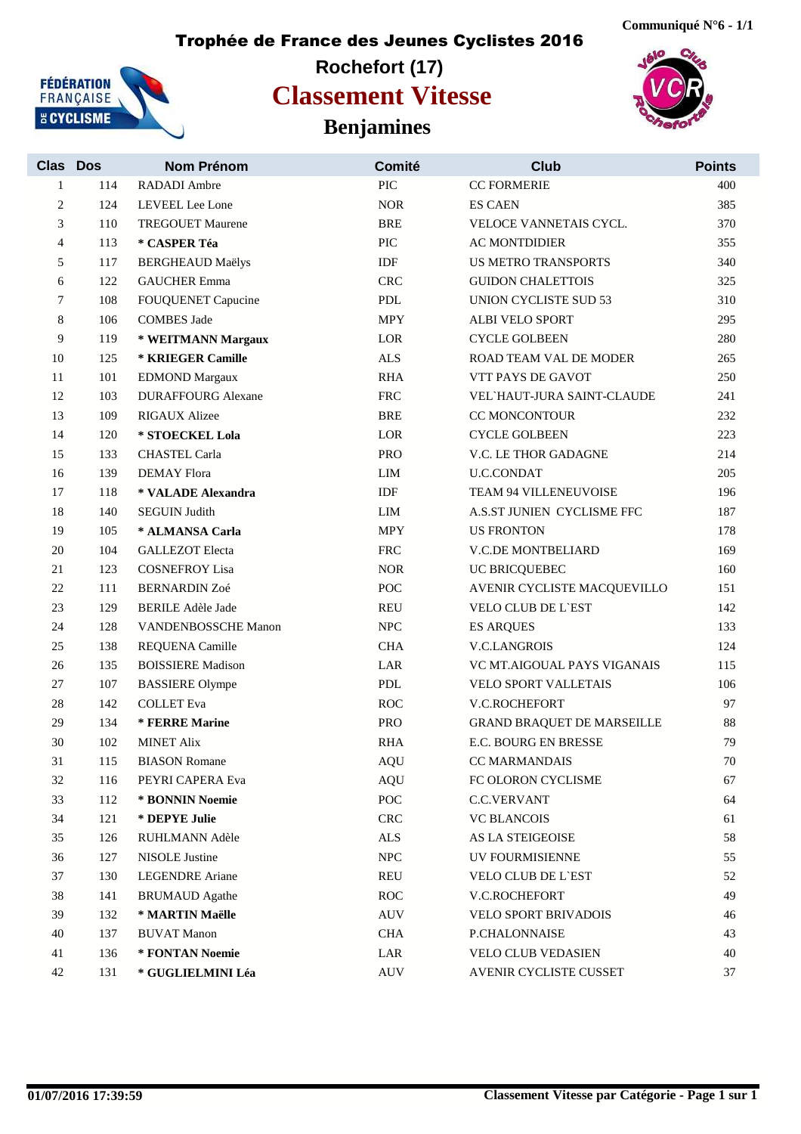

## **Rochefort (17) Benjamines Classement Vitesse**





| <b>Clas</b>    | <b>Dos</b> | <b>Nom Prénom</b>         | Comité               | <b>Club</b>                       | <b>Points</b> |
|----------------|------------|---------------------------|----------------------|-----------------------------------|---------------|
| 1              | 114        | RADADI Ambre              | PIC                  | <b>CC FORMERIE</b>                | 400           |
| $\overline{c}$ | 124        | LEVEEL Lee Lone           | <b>NOR</b>           | <b>ES CAEN</b>                    | 385           |
| 3              | 110        | <b>TREGOUET Maurene</b>   | <b>BRE</b>           | VELOCE VANNETAIS CYCL.            | 370           |
| 4              | 113        | * CASPER Téa              | PIC                  | <b>AC MONTDIDIER</b>              | 355           |
| 5              | 117        | <b>BERGHEAUD Maëlys</b>   | IDF                  | <b>US METRO TRANSPORTS</b>        | 340           |
| 6              | 122        | <b>GAUCHER Emma</b>       | <b>CRC</b>           | <b>GUIDON CHALETTOIS</b>          | 325           |
| 7              | 108        | <b>FOUQUENET Capucine</b> | <b>PDL</b>           | UNION CYCLISTE SUD 53             | 310           |
| 8              | 106        | <b>COMBES Jade</b>        | <b>MPY</b>           | ALBI VELO SPORT                   | 295           |
| 9              | 119        | * WEITMANN Margaux        | LOR                  | <b>CYCLE GOLBEEN</b>              | 280           |
| 10             | 125        | * KRIEGER Camille         | ALS                  | ROAD TEAM VAL DE MODER            | 265           |
| 11             | 101        | <b>EDMOND Margaux</b>     | <b>RHA</b>           | VTT PAYS DE GAVOT                 | 250           |
| 12             | 103        | <b>DURAFFOURG Alexane</b> | <b>FRC</b>           | VEL HAUT-JURA SAINT-CLAUDE        | 241           |
| 13             | 109        | <b>RIGAUX Alizee</b>      | <b>BRE</b>           | CC MONCONTOUR                     | 232           |
| 14             | 120        | * STOECKEL Lola           | $_{\rm{LOR}}$        | <b>CYCLE GOLBEEN</b>              | 223           |
| 15             | 133        | <b>CHASTEL Carla</b>      | <b>PRO</b>           | V.C. LE THOR GADAGNE              | 214           |
| 16             | 139        | <b>DEMAY Flora</b>        | LIM                  | <b>U.C.CONDAT</b>                 | 205           |
| 17             | 118        | * VALADE Alexandra        | IDF                  | TEAM 94 VILLENEUVOISE             | 196           |
| 18             | 140        | <b>SEGUIN Judith</b>      | LIM                  | A.S.ST JUNIEN CYCLISME FFC        | 187           |
| 19             | 105        | * ALMANSA Carla           | <b>MPY</b>           | <b>US FRONTON</b>                 | 178           |
| 20             | 104        | <b>GALLEZOT</b> Electa    | <b>FRC</b>           | V.C.DE MONTBELIARD                | 169           |
| 21             | 123        | <b>COSNEFROY Lisa</b>     | $\rm{NOR}$           | UC BRICQUEBEC                     | 160           |
| 22             | 111        | <b>BERNARDIN Zoé</b>      | POC                  | AVENIR CYCLISTE MACQUEVILLO       | 151           |
| 23             | 129        | <b>BERILE Adèle Jade</b>  | <b>REU</b>           | <b>VELO CLUB DE L'EST</b>         | 142           |
| 24             | 128        | VANDENBOSSCHE Manon       | <b>NPC</b>           | <b>ES ARQUES</b>                  | 133           |
| 25             | 138        | REQUENA Camille           | <b>CHA</b>           | <b>V.C.LANGROIS</b>               | 124           |
| 26             | 135        | <b>BOISSIERE Madison</b>  | LAR                  | VC MT.AIGOUAL PAYS VIGANAIS       | 115           |
| 27             | 107        | <b>BASSIERE Olympe</b>    | <b>PDL</b>           | VELO SPORT VALLETAIS              | 106           |
| 28             | 142        | <b>COLLET</b> Eva         | <b>ROC</b>           | V.C.ROCHEFORT                     | 97            |
| 29             | 134        | * FERRE Marine            | <b>PRO</b>           | <b>GRAND BRAQUET DE MARSEILLE</b> | 88            |
| 30             | 102        | <b>MINET Alix</b>         | <b>RHA</b>           | E.C. BOURG EN BRESSE              | 79            |
| 31             | 115        | <b>BIASON</b> Romane      | AQU                  | CC MARMANDAIS                     | 70            |
| 32             | 116        | PEYRI CAPERA Eva          | <b>AQU</b>           | FC OLORON CYCLISME                | 67            |
| 33             | 112        | * BONNIN Noemie           | $\operatorname{POC}$ | <b>C.C.VERVANT</b>                | 64            |
| 34             | 121        | * DEPYE Julie             | CRC                  | <b>VC BLANCOIS</b>                | 61            |
| 35             | 126        | RUHLMANN Adèle            | $\mbox{ALS}$         | AS LA STEIGEOISE                  | 58            |
| 36             | 127        | <b>NISOLE Justine</b>     | ${\rm NPC}$          | UV FOURMISIENNE                   | 55            |
| 37             | 130        | <b>LEGENDRE</b> Ariane    | REU                  | VELO CLUB DE L'EST                | 52            |
| 38             | 141        | <b>BRUMAUD</b> Agathe     | <b>ROC</b>           | V.C.ROCHEFORT                     | 49            |
| 39             | 132        | * MARTIN Maëlle           | AUV                  | VELO SPORT BRIVADOIS              | 46            |
| 40             | 137        | <b>BUVAT Manon</b>        | $\rm CHA$            | P.CHALONNAISE                     | 43            |
| 41             | 136        | * FONTAN Noemie           | LAR                  | VELO CLUB VEDASIEN                | 40            |
| 42             | 131        | * GUGLIELMINI Léa         | <b>AUV</b>           | AVENIR CYCLISTE CUSSET            | 37            |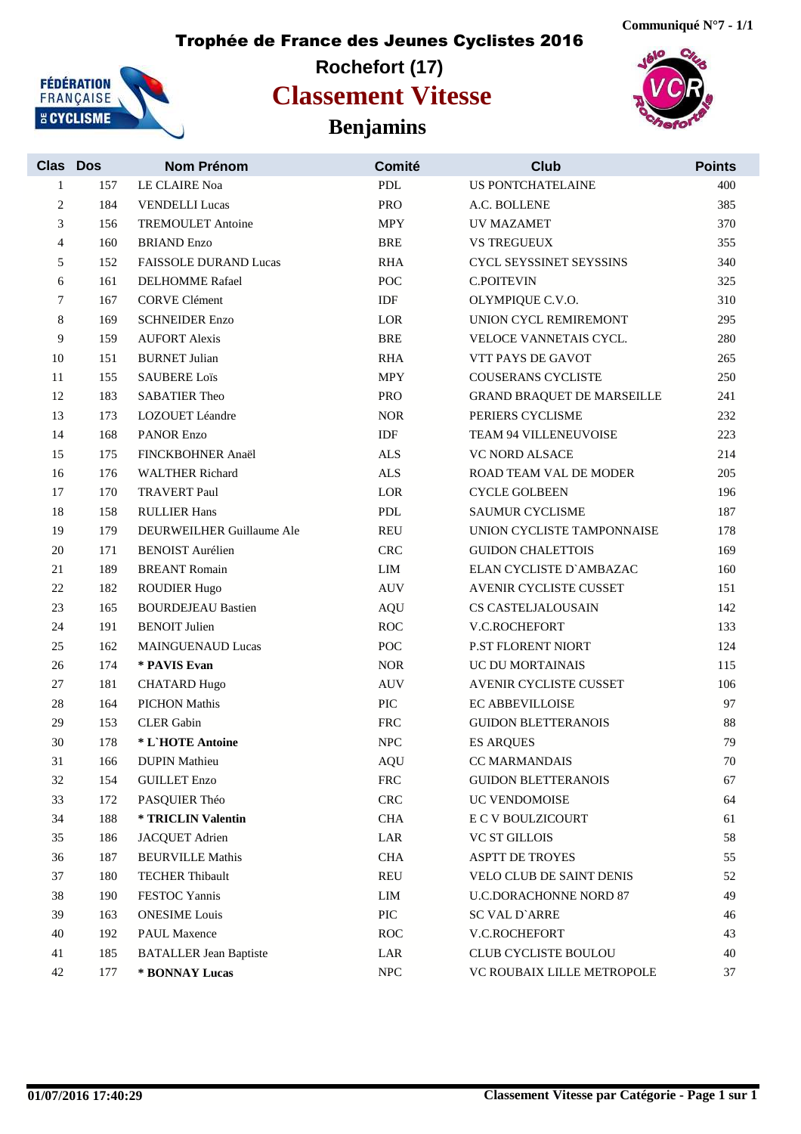## **Rochefort (17) Benjamins Classement Vitesse**





| <b>Clas Dos</b> |     | Nom Prénom                    | Comité      | <b>Club</b>                       | <b>Points</b> |
|-----------------|-----|-------------------------------|-------------|-----------------------------------|---------------|
| 1               | 157 | LE CLAIRE Noa                 | <b>PDL</b>  | <b>US PONTCHATELAINE</b>          | 400           |
| 2               | 184 | <b>VENDELLI Lucas</b>         | <b>PRO</b>  | A.C. BOLLENE                      | 385           |
| 3               | 156 | <b>TREMOULET</b> Antoine      | <b>MPY</b>  | UV MAZAMET                        | 370           |
| 4               | 160 | <b>BRIAND Enzo</b>            | <b>BRE</b>  | <b>VS TREGUEUX</b>                | 355           |
| 5               | 152 | <b>FAISSOLE DURAND Lucas</b>  | <b>RHA</b>  | CYCL SEYSSINET SEYSSINS           | 340           |
| 6               | 161 | <b>DELHOMME</b> Rafael        | <b>POC</b>  | <b>C.POITEVIN</b>                 | 325           |
| 7               | 167 | <b>CORVE Clément</b>          | IDF         | OLYMPIQUE C.V.O.                  | 310           |
| 8               | 169 | <b>SCHNEIDER Enzo</b>         | LOR         | UNION CYCL REMIREMONT             | 295           |
| 9               | 159 | <b>AUFORT Alexis</b>          | <b>BRE</b>  | VELOCE VANNETAIS CYCL.            | 280           |
| 10              | 151 | <b>BURNET Julian</b>          | <b>RHA</b>  | VTT PAYS DE GAVOT                 | 265           |
| 11              | 155 | <b>SAUBERE Loïs</b>           | <b>MPY</b>  | <b>COUSERANS CYCLISTE</b>         | 250           |
| 12              | 183 | <b>SABATIER Theo</b>          | <b>PRO</b>  | <b>GRAND BRAQUET DE MARSEILLE</b> | 241           |
| 13              | 173 | LOZOUET Léandre               | $\rm NOR$   | PERIERS CYCLISME                  | 232           |
| 14              | 168 | <b>PANOR Enzo</b>             | IDF         | TEAM 94 VILLENEUVOISE             | 223           |
| 15              | 175 | FINCKBOHNER Anaël             | ALS         | <b>VC NORD ALSACE</b>             | 214           |
| 16              | 176 | <b>WALTHER Richard</b>        | <b>ALS</b>  | ROAD TEAM VAL DE MODER            | 205           |
| 17              | 170 | <b>TRAVERT Paul</b>           | LOR         | <b>CYCLE GOLBEEN</b>              | 196           |
| 18              | 158 | <b>RULLIER Hans</b>           | <b>PDL</b>  | <b>SAUMUR CYCLISME</b>            | 187           |
| 19              | 179 | DEURWEILHER Guillaume Ale     | <b>REU</b>  | UNION CYCLISTE TAMPONNAISE        | 178           |
| 20              | 171 | <b>BENOIST Aurélien</b>       | <b>CRC</b>  | <b>GUIDON CHALETTOIS</b>          | 169           |
| 21              | 189 | <b>BREANT Romain</b>          | LIM         | ELAN CYCLISTE D'AMBAZAC           | 160           |
| 22              | 182 | <b>ROUDIER Hugo</b>           | <b>AUV</b>  | AVENIR CYCLISTE CUSSET            | 151           |
| 23              | 165 | <b>BOURDEJEAU Bastien</b>     | AQU         | CS CASTELJALOUSAIN                | 142           |
| 24              | 191 | <b>BENOIT</b> Julien          | <b>ROC</b>  | V.C.ROCHEFORT                     | 133           |
| 25              | 162 | <b>MAINGUENAUD Lucas</b>      | POC         | <b>P.ST FLORENT NIORT</b>         | 124           |
| 26              | 174 | * PAVIS Evan                  | <b>NOR</b>  | UC DU MORTAINAIS                  | 115           |
| 27              | 181 | <b>CHATARD Hugo</b>           | AUV         | AVENIR CYCLISTE CUSSET            | 106           |
| $28\,$          | 164 | <b>PICHON Mathis</b>          | PIC         | EC ABBEVILLOISE                   | 97            |
| 29              | 153 | <b>CLER</b> Gabin             | <b>FRC</b>  | <b>GUIDON BLETTERANOIS</b>        | 88            |
| 30              | 178 | * L'HOTE Antoine              | <b>NPC</b>  | <b>ES ARQUES</b>                  | 79            |
| 31              | 166 | <b>DUPIN Mathieu</b>          | AQU         | CC MARMANDAIS                     | $70\,$        |
| 32              | 154 | <b>GUILLET</b> Enzo           | <b>FRC</b>  | <b>GUIDON BLETTERANOIS</b>        | 67            |
| 33              | 172 | PASQUIER Théo                 | <b>CRC</b>  | UC VENDOMOISE                     | 64            |
| 34              | 188 | * TRICLIN Valentin            | $\rm CHA$   | E C V BOULZICOURT                 | 61            |
| 35              | 186 | JACQUET Adrien                | LAR         | <b>VC ST GILLOIS</b>              | 58            |
| 36              | 187 | <b>BEURVILLE Mathis</b>       | <b>CHA</b>  | <b>ASPTT DE TROYES</b>            | 55            |
| 37              | 180 | <b>TECHER Thibault</b>        | <b>REU</b>  | VELO CLUB DE SAINT DENIS          | 52            |
| 38              | 190 | FESTOC Yannis                 | LIM         | <b>U.C.DORACHONNE NORD 87</b>     | 49            |
| 39              | 163 | <b>ONESIME</b> Louis          | PIC         | <b>SC VAL D'ARRE</b>              | 46            |
| 40              | 192 | PAUL Maxence                  | ROC         | V.C.ROCHEFORT                     | 43            |
| 41              | 185 | <b>BATALLER Jean Baptiste</b> | LAR         | CLUB CYCLISTE BOULOU              | 40            |
| 42              | 177 | * BONNAY Lucas                | ${\rm NPC}$ | VC ROUBAIX LILLE METROPOLE        | 37            |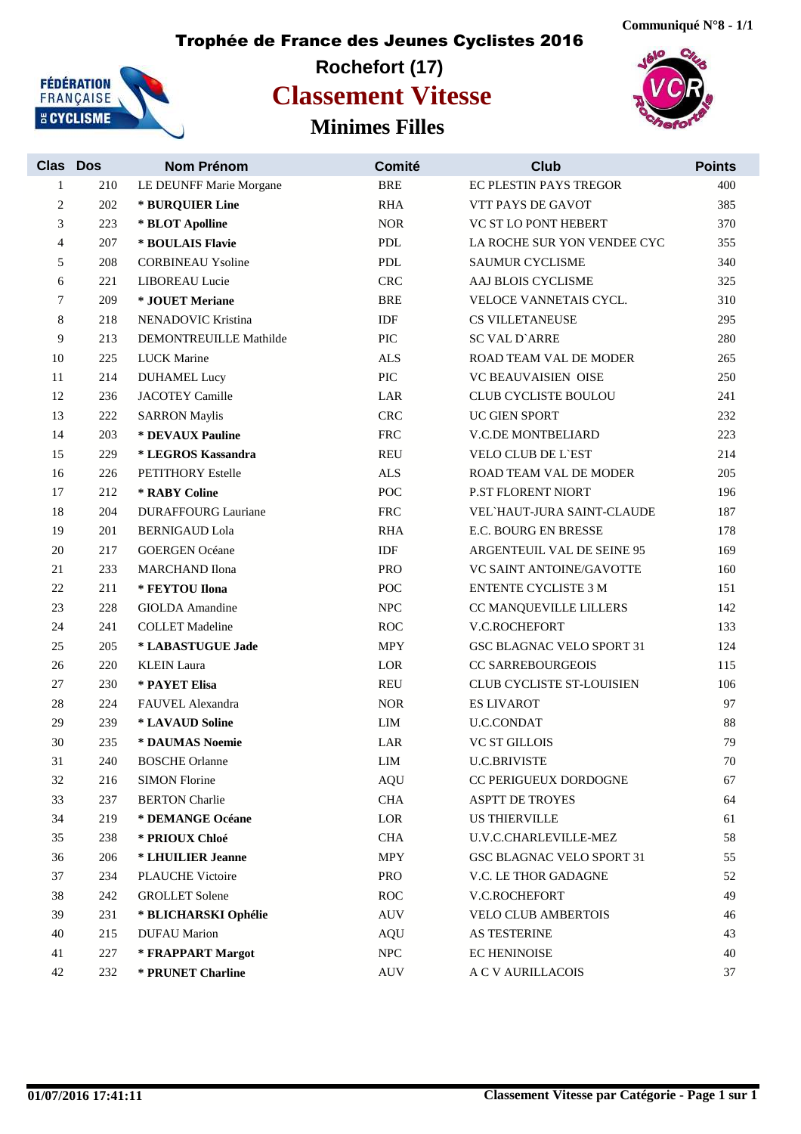

#### **Rochefort (17) Minimes Filles Classement Vitesse**



| <b>Clas Dos</b> |     | Nom Prénom                    | Comité        | <b>Club</b>                      | <b>Points</b> |
|-----------------|-----|-------------------------------|---------------|----------------------------------|---------------|
| $\mathbf{1}$    | 210 | LE DEUNFF Marie Morgane       | <b>BRE</b>    | EC PLESTIN PAYS TREGOR           | 400           |
| 2               | 202 | * BURQUIER Line               | <b>RHA</b>    | VTT PAYS DE GAVOT                | 385           |
| 3               | 223 | * BLOT Apolline               | <b>NOR</b>    | VC ST LO PONT HEBERT             | 370           |
| 4               | 207 | * BOULAIS Flavie              | ${\bf PDL}$   | LA ROCHE SUR YON VENDEE CYC      | 355           |
| 5               | 208 | <b>CORBINEAU Ysoline</b>      | ${\bf PDL}$   | <b>SAUMUR CYCLISME</b>           | 340           |
| 6               | 221 | <b>LIBOREAU</b> Lucie         | <b>CRC</b>    | AAJ BLOIS CYCLISME               | 325           |
| 7               | 209 | * JOUET Meriane               | <b>BRE</b>    | VELOCE VANNETAIS CYCL.           | 310           |
| 8               | 218 | NENADOVIC Kristina            | IDF           | <b>CS VILLETANEUSE</b>           | 295           |
| 9               | 213 | <b>DEMONTREUILLE Mathilde</b> | PIC           | <b>SC VAL D'ARRE</b>             | 280           |
| 10              | 225 | <b>LUCK Marine</b>            | <b>ALS</b>    | ROAD TEAM VAL DE MODER           | 265           |
| 11              | 214 | <b>DUHAMEL Lucy</b>           | PIC           | VC BEAUVAISIEN OISE              | 250           |
| 12              | 236 | <b>JACOTEY Camille</b>        | LAR           | CLUB CYCLISTE BOULOU             | 241           |
| 13              | 222 | <b>SARRON Maylis</b>          | CRC           | UC GIEN SPORT                    | 232           |
| 14              | 203 | * DEVAUX Pauline              | ${\rm FRC}$   | V.C.DE MONTBELIARD               | 223           |
| 15              | 229 | * LEGROS Kassandra            | <b>REU</b>    | <b>VELO CLUB DE L'EST</b>        | 214           |
| 16              | 226 | <b>PETITHORY Estelle</b>      | $\mbox{ALS}$  | ROAD TEAM VAL DE MODER           | 205           |
| 17              | 212 | * RABY Coline                 | <b>POC</b>    | P.ST FLORENT NIORT               | 196           |
| 18              | 204 | <b>DURAFFOURG Lauriane</b>    | <b>FRC</b>    | VEL HAUT-JURA SAINT-CLAUDE       | 187           |
| 19              | 201 | <b>BERNIGAUD Lola</b>         | <b>RHA</b>    | E.C. BOURG EN BRESSE             | 178           |
| 20              | 217 | <b>GOERGEN Océane</b>         | <b>IDF</b>    | ARGENTEUIL VAL DE SEINE 95       | 169           |
| 21              | 233 | <b>MARCHAND</b> Ilona         | PRO           | VC SAINT ANTOINE/GAVOTTE         | 160           |
| 22              | 211 | * FEYTOU Ilona                | POC           | <b>ENTENTE CYCLISTE 3 M</b>      | 151           |
| $23\,$          | 228 | <b>GIOLDA</b> Amandine        | <b>NPC</b>    | CC MANQUEVILLE LILLERS           | 142           |
| 24              | 241 | <b>COLLET Madeline</b>        | ROC           | V.C.ROCHEFORT                    | 133           |
| 25              | 205 | * LABASTUGUE Jade             | <b>MPY</b>    | <b>GSC BLAGNAC VELO SPORT 31</b> | 124           |
| 26              | 220 | <b>KLEIN</b> Laura            | $_{\rm{LOR}}$ | <b>CC SARREBOURGEOIS</b>         | 115           |
| 27              | 230 | * PAYET Elisa                 | <b>REU</b>    | CLUB CYCLISTE ST-LOUISIEN        | 106           |
| 28              | 224 | FAUVEL Alexandra              | <b>NOR</b>    | <b>ES LIVAROT</b>                | 97            |
| 29              | 239 | * LAVAUD Soline               | LIM           | <b>U.C.CONDAT</b>                | 88            |
| 30              | 235 | * DAUMAS Noemie               | LAR           | <b>VC ST GILLOIS</b>             | 79            |
| 31              | 240 | <b>BOSCHE</b> Orlanne         | LIM           | <b>U.C.BRIVISTE</b>              | 70            |
| 32              | 216 | <b>SIMON Florine</b>          | <b>AQU</b>    | CC PERIGUEUX DORDOGNE            | 67            |
| 33              | 237 | <b>BERTON</b> Charlie         | $\rm CHA$     | <b>ASPTT DE TROYES</b>           | 64            |
| 34              | 219 | * DEMANGE Océane              | LOR           | <b>US THIERVILLE</b>             | 61            |
| 35              | 238 | * PRIOUX Chloé                | <b>CHA</b>    | U.V.C.CHARLEVILLE-MEZ            | 58            |
| 36              | 206 | * LHUILIER Jeanne             | MPY           | GSC BLAGNAC VELO SPORT 31        | 55            |
| 37              | 234 | <b>PLAUCHE Victoire</b>       | PRO           | V.C. LE THOR GADAGNE             | 52            |
| 38              | 242 | <b>GROLLET</b> Solene         | ROC           | V.C.ROCHEFORT                    | 49            |
| 39              | 231 | * BLICHARSKI Ophélie          | <b>AUV</b>    | VELO CLUB AMBERTOIS              | 46            |
| 40              | 215 | <b>DUFAU</b> Marion           | <b>AQU</b>    | AS TESTERINE                     | 43            |
| 41              | 227 | * FRAPPART Margot             | ${\rm NPC}$   | <b>EC HENINOISE</b>              | 40            |
| 42              | 232 | * PRUNET Charline             | <b>AUV</b>    | A C V AURILLACOIS                | 37            |